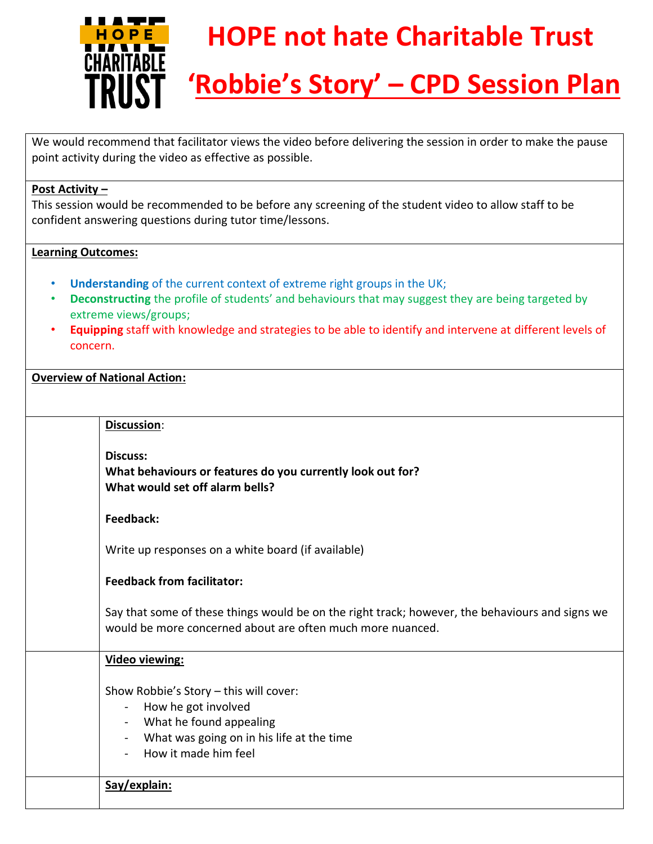

# **HOPE not hate Charitable Trust**

# **'Robbie's Story' – CPD Session Plan**

We would recommend that facilitator views the video before delivering the session in order to make the pause point activity during the video as effective as possible.

#### **Post Activity –**

This session would be recommended to be before any screening of the student video to allow staff to be confident answering questions during tutor time/lessons.

## **Learning Outcomes:**

- **Understanding** of the current context of extreme right groups in the UK;
- **Deconstructing** the profile of students' and behaviours that may suggest they are being targeted by extreme views/groups;
- **Equipping** staff with knowledge and strategies to be able to identify and intervene at different levels of concern.

## **Overview of National Action:**

| Discussion:                                                                                                                                                                                                         |
|---------------------------------------------------------------------------------------------------------------------------------------------------------------------------------------------------------------------|
| <b>Discuss:</b><br>What behaviours or features do you currently look out for?<br>What would set off alarm bells?                                                                                                    |
| Feedback:                                                                                                                                                                                                           |
| Write up responses on a white board (if available)                                                                                                                                                                  |
| <b>Feedback from facilitator:</b>                                                                                                                                                                                   |
| Say that some of these things would be on the right track; however, the behaviours and signs we<br>would be more concerned about are often much more nuanced.                                                       |
| <b>Video viewing:</b>                                                                                                                                                                                               |
| Show Robbie's Story - this will cover:<br>How he got involved<br>$\blacksquare$<br>What he found appealing<br>$\blacksquare$<br>What was going on in his life at the time<br>$\blacksquare$<br>How it made him feel |
| Say/explain:                                                                                                                                                                                                        |